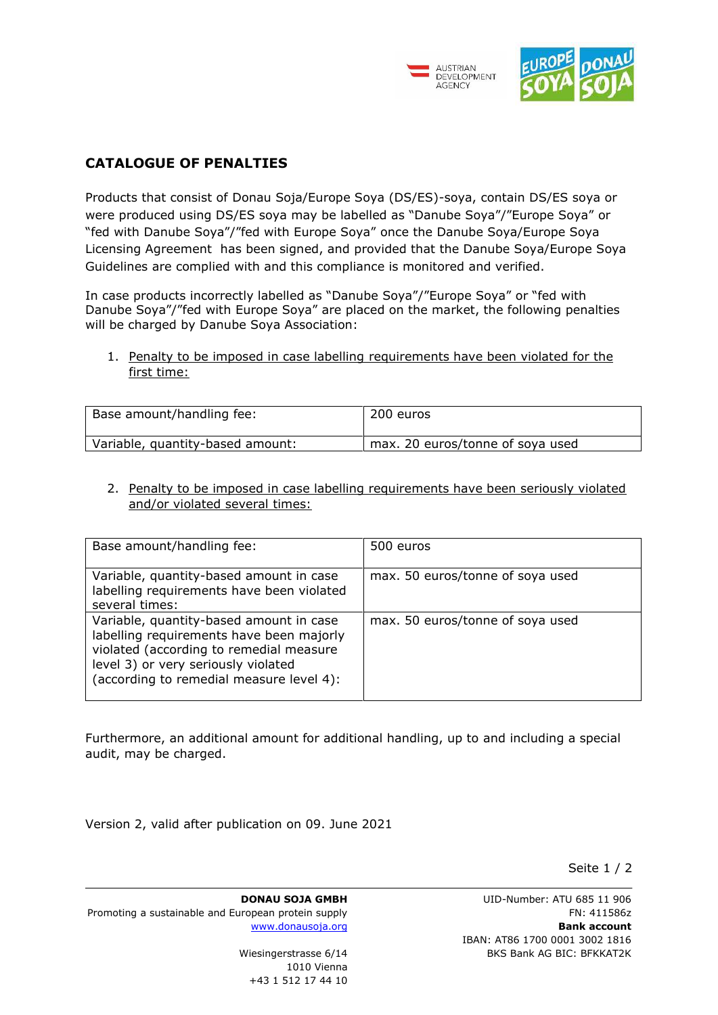



## **CATALOGUE OF PENALTIES**

Products that consist of Donau Soja/Europe Soya (DS/ES)-soya, contain DS/ES soya or were produced using DS/ES soya may be labelled as "Danube Soya"/"Europe Soya" or "fed with Danube Soya"/"fed with Europe Soya" once the Danube Soya/Europe Soya Licensing Agreement has been signed, and provided that the Danube Soya/Europe Soya Guidelines are complied with and this compliance is monitored and verified.

In case products incorrectly labelled as "Danube Soya"/"Europe Soya" or "fed with Danube Soya"/"fed with Europe Soya" are placed on the market, the following penalties will be charged by Danube Soya Association:

1. Penalty to be imposed in case labelling requirements have been violated for the first time:

| Base amount/handling fee:        | 200 euros                        |
|----------------------------------|----------------------------------|
| Variable, quantity-based amount: | max. 20 euros/tonne of soya used |

2. Penalty to be imposed in case labelling requirements have been seriously violated and/or violated several times:

| Base amount/handling fee:                                                                                                                                                                                         | 500 euros                        |
|-------------------------------------------------------------------------------------------------------------------------------------------------------------------------------------------------------------------|----------------------------------|
| Variable, quantity-based amount in case<br>labelling requirements have been violated<br>several times:                                                                                                            | max. 50 euros/tonne of soya used |
| Variable, quantity-based amount in case<br>labelling requirements have been majorly<br>violated (according to remedial measure<br>level 3) or very seriously violated<br>(according to remedial measure level 4): | max. 50 euros/tonne of soya used |

Furthermore, an additional amount for additional handling, up to and including a special audit, may be charged.

Version 2, valid after publication on 09. June 2021

Seite 1 / 2

**DONAU SOJA GMBH** Promoting a sustainable and European protein supply [www.donausoja.org](http://www.donausoja.org/)

> Wiesingerstrasse 6/14 1010 Vienna +43 1 512 17 44 10